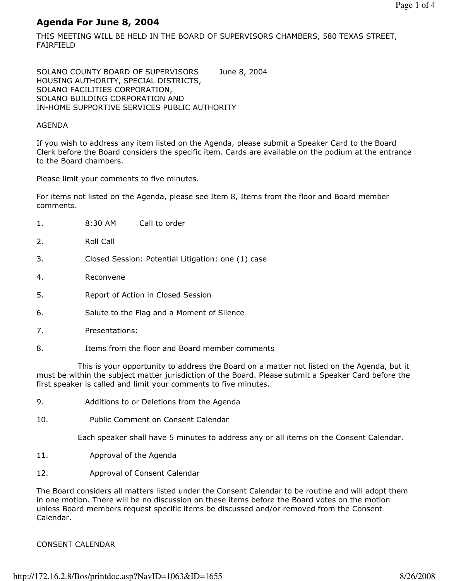# Agenda For June 8, 2004

THIS MEETING WILL BE HELD IN THE BOARD OF SUPERVISORS CHAMBERS, 580 TEXAS STREET, FAIRFIELD

SOLANO COUNTY BOARD OF SUPERVISORS June 8, 2004 HOUSING AUTHORITY, SPECIAL DISTRICTS, SOLANO FACILITIES CORPORATION, SOLANO BUILDING CORPORATION AND IN-HOME SUPPORTIVE SERVICES PUBLIC AUTHORITY

### AGENDA

If you wish to address any item listed on the Agenda, please submit a Speaker Card to the Board Clerk before the Board considers the specific item. Cards are available on the podium at the entrance to the Board chambers.

Please limit your comments to five minutes.

For items not listed on the Agenda, please see Item 8, Items from the floor and Board member comments.

| 1. | Call to order<br>8:30 AM                           |  |
|----|----------------------------------------------------|--|
| 2. | Roll Call                                          |  |
| 3. | Closed Session: Potential Litigation: one (1) case |  |
| 4. | Reconvene                                          |  |
| 5. | Report of Action in Closed Session                 |  |
| 6. | Salute to the Flag and a Moment of Silence         |  |
| 7. | Presentations:                                     |  |
| 8. | Items from the floor and Board member comments     |  |

 This is your opportunity to address the Board on a matter not listed on the Agenda, but it must be within the subject matter jurisdiction of the Board. Please submit a Speaker Card before the first speaker is called and limit your comments to five minutes.

- 9. Additions to or Deletions from the Agenda
- 10. Public Comment on Consent Calendar

Each speaker shall have 5 minutes to address any or all items on the Consent Calendar.

- 11. Approval of the Agenda
- 12. Approval of Consent Calendar

The Board considers all matters listed under the Consent Calendar to be routine and will adopt them in one motion. There will be no discussion on these items before the Board votes on the motion unless Board members request specific items be discussed and/or removed from the Consent Calendar.

# CONSENT CALENDAR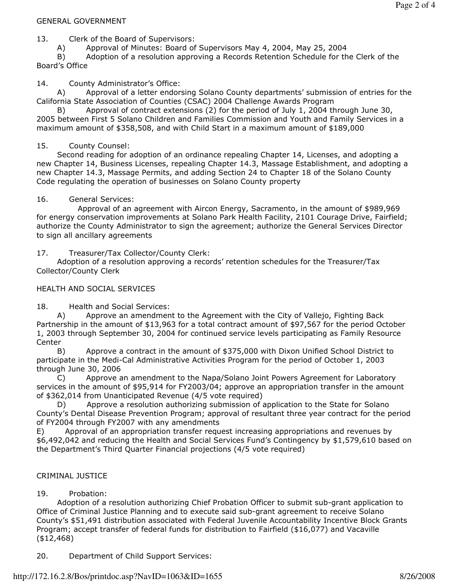### GENERAL GOVERNMENT

13. Clerk of the Board of Supervisors:

A) Approval of Minutes: Board of Supervisors May 4, 2004, May 25, 2004

 B) Adoption of a resolution approving a Records Retention Schedule for the Clerk of the Board's Office

### 14. County Administrator's Office:

 A) Approval of a letter endorsing Solano County departments' submission of entries for the California State Association of Counties (CSAC) 2004 Challenge Awards Program

 B) Approval of contract extensions (2) for the period of July 1, 2004 through June 30, 2005 between First 5 Solano Children and Families Commission and Youth and Family Services in a maximum amount of \$358,508, and with Child Start in a maximum amount of \$189,000

# 15. County Counsel:

 Second reading for adoption of an ordinance repealing Chapter 14, Licenses, and adopting a new Chapter 14, Business Licenses, repealing Chapter 14.3, Massage Establishment, and adopting a new Chapter 14.3, Massage Permits, and adding Section 24 to Chapter 18 of the Solano County Code regulating the operation of businesses on Solano County property

### 16. General Services:

 Approval of an agreement with Aircon Energy, Sacramento, in the amount of \$989,969 for energy conservation improvements at Solano Park Health Facility, 2101 Courage Drive, Fairfield; authorize the County Administrator to sign the agreement; authorize the General Services Director to sign all ancillary agreements

17. Treasurer/Tax Collector/County Clerk:

 Adoption of a resolution approving a records' retention schedules for the Treasurer/Tax Collector/County Clerk

### HEALTH AND SOCIAL SERVICES

18. Health and Social Services:

 A) Approve an amendment to the Agreement with the City of Vallejo, Fighting Back Partnership in the amount of \$13,963 for a total contract amount of \$97,567 for the period October 1, 2003 through September 30, 2004 for continued service levels participating as Family Resource **Center** 

 B) Approve a contract in the amount of \$375,000 with Dixon Unified School District to participate in the Medi-Cal Administrative Activities Program for the period of October 1, 2003 through June 30, 2006

 C) Approve an amendment to the Napa/Solano Joint Powers Agreement for Laboratory services in the amount of \$95,914 for FY2003/04; approve an appropriation transfer in the amount of \$362,014 from Unanticipated Revenue (4/5 vote required)

 D) Approve a resolution authorizing submission of application to the State for Solano County's Dental Disease Prevention Program; approval of resultant three year contract for the period of FY2004 through FY2007 with any amendments

E) Approval of an appropriation transfer request increasing appropriations and revenues by \$6,492,042 and reducing the Health and Social Services Fund's Contingency by \$1,579,610 based on the Department's Third Quarter Financial projections (4/5 vote required)

# CRIMINAL JUSTICE

# 19. Probation:

 Adoption of a resolution authorizing Chief Probation Officer to submit sub-grant application to Office of Criminal Justice Planning and to execute said sub-grant agreement to receive Solano County's \$51,491 distribution associated with Federal Juvenile Accountability Incentive Block Grants Program; accept transfer of federal funds for distribution to Fairfield (\$16,077) and Vacaville (\$12,468)

20. Department of Child Support Services: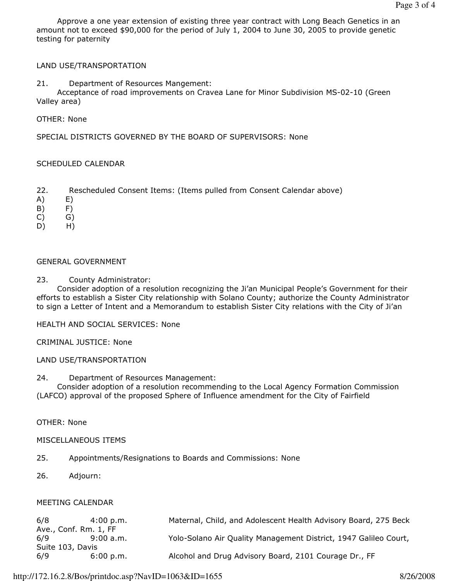Approve a one year extension of existing three year contract with Long Beach Genetics in an amount not to exceed \$90,000 for the period of July 1, 2004 to June 30, 2005 to provide genetic testing for paternity

#### LAND USE/TRANSPORTATION

### 21. Department of Resources Mangement:

 Acceptance of road improvements on Cravea Lane for Minor Subdivision MS-02-10 (Green Valley area)

OTHER: None

SPECIAL DISTRICTS GOVERNED BY THE BOARD OF SUPERVISORS: None

#### SCHEDULED CALENDAR

- 22. Rescheduled Consent Items: (Items pulled from Consent Calendar above)
- A) E)
- B) F)
- C) G)
- D) H)

#### GENERAL GOVERNMENT

23. County Administrator:

 Consider adoption of a resolution recognizing the Ji'an Municipal People's Government for their efforts to establish a Sister City relationship with Solano County; authorize the County Administrator to sign a Letter of Intent and a Memorandum to establish Sister City relations with the City of Ji'an

HEALTH AND SOCIAL SERVICES: None

#### CRIMINAL JUSTICE: None

#### LAND USE/TRANSPORTATION

24. Department of Resources Management:

 Consider adoption of a resolution recommending to the Local Agency Formation Commission (LAFCO) approval of the proposed Sphere of Influence amendment for the City of Fairfield

OTHER: None

#### MISCELLANEOUS ITEMS

- 25. Appointments/Resignations to Boards and Commissions: None
- 26. Adjourn:

#### MEETING CALENDAR

| 6/8                   | 4:00 p.m. | Maternal, Child, and Adolescent Health Advisory Board, 275 Beck  |  |
|-----------------------|-----------|------------------------------------------------------------------|--|
| Ave., Conf. Rm. 1, FF |           |                                                                  |  |
| 6/9                   | 9:00 a.m. | Yolo-Solano Air Quality Management District, 1947 Galileo Court, |  |
| Suite 103, Davis      |           |                                                                  |  |
| 6/9                   | 6:00 p.m. | Alcohol and Drug Advisory Board, 2101 Courage Dr., FF            |  |